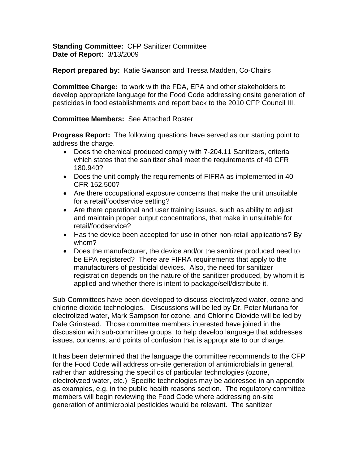**Standing Committee:** CFP Sanitizer Committee **Date of Report:** 3/13/2009

**Report prepared by:** Katie Swanson and Tressa Madden, Co-Chairs

**Committee Charge:** to work with the FDA, EPA and other stakeholders to develop appropriate language for the Food Code addressing onsite generation of pesticides in food establishments and report back to the 2010 CFP Council III.

## **Committee Members:** See Attached Roster

**Progress Report:** The following questions have served as our starting point to address the charge.

- Does the chemical produced comply with 7-204.11 Sanitizers, criteria which states that the sanitizer shall meet the requirements of 40 CFR 180.940?
- Does the unit comply the requirements of FIFRA as implemented in 40 CFR 152.500?
- Are there occupational exposure concerns that make the unit unsuitable for a retail/foodservice setting?
- Are there operational and user training issues, such as ability to adjust and maintain proper output concentrations, that make in unsuitable for retail/foodservice?
- Has the device been accepted for use in other non-retail applications? By whom?
- Does the manufacturer, the device and/or the sanitizer produced need to be EPA registered? There are FIFRA requirements that apply to the manufacturers of pesticidal devices. Also, the need for sanitizer registration depends on the nature of the sanitizer produced, by whom it is applied and whether there is intent to package/sell/distribute it.

Sub-Committees have been developed to discuss electrolyzed water, ozone and chlorine dioxide technologies. Discussions will be led by Dr. Peter Muriana for electrolized water, Mark Sampson for ozone, and Chlorine Dioxide will be led by Dale Grinstead. Those committee members interested have joined in the discussion with sub-committee groups to help develop language that addresses issues, concerns, and points of confusion that is appropriate to our charge.

It has been determined that the language the committee recommends to the CFP for the Food Code will address on-site generation of antimicrobials in general, rather than addressing the specifics of particular technologies (ozone, electrolyzed water, etc.) Specific technologies may be addressed in an appendix as examples, e.g. in the public health reasons section. The regulatory committee members will begin reviewing the Food Code where addressing on-site generation of antimicrobial pesticides would be relevant. The sanitizer